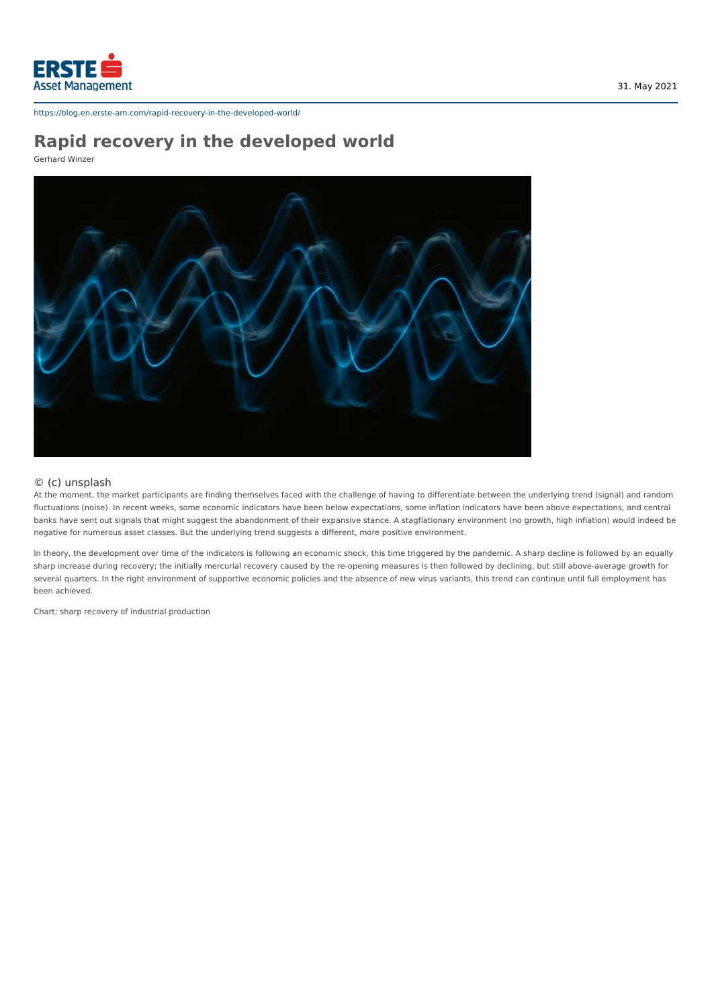

# **Rapid recovery in the developed world**

Gerhard Winzer



### © (c) unsplash

At the moment, the market participants are finding themselves faced with the challenge of having to differentiate between the underlying trend (signal) and random fluctuations (noise). In recent weeks, some economic indicators have been below expectations, some inflation indicators have been above expectations, and central banks have sent out signals that might suggest the abandonment of their expansive stance. A stagflationary environment (no growth, high inflation) would indeed be negative for numerous asset classes. But the underlying trend suggests a different, more positive environment.

In theory, the development over time of the indicators is following an economic shock, this time triggered by the pandemic. A sharp decline is followed by an equally sharp increase during recovery; the initially mercurial recovery caused by the re-opening measures is then followed by declining, but still above-average growth for several quarters. In the right environment of supportive economic policies and the absence of new virus variants, this trend can continue until full employment has been achieved.

Chart: sharp recovery of industrial production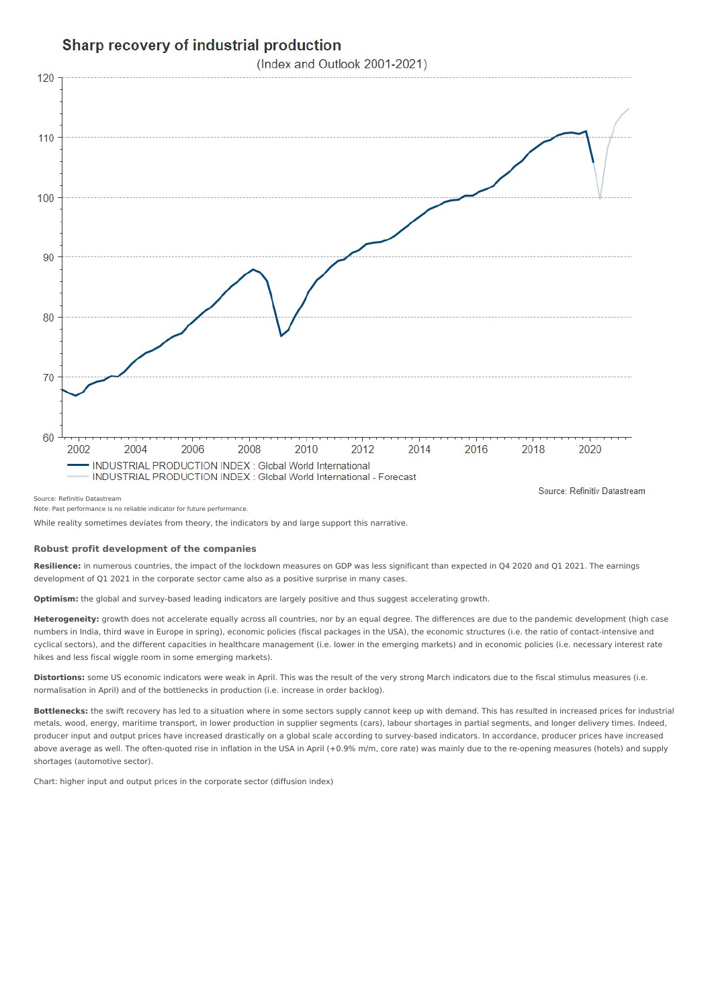## Sharp recovery of industrial production

(Index and Outlook 2001-2021)



Note: Past performance is no reliable indicator for future performance.

While reality sometimes deviates from theory, the indicators by and large support this narrative.

#### **Robust profit development of the companies**

**Resilience:** in numerous countries, the impact of the lockdown measures on GDP was less significant than expected in Q4 2020 and Q1 2021. The earnings development of Q1 2021 in the corporate sector came also as a positive surprise in many cases.

**Optimism:** the global and survey-based leading indicators are largely positive and thus suggest accelerating growth.

**Heterogeneity:** growth does not accelerate equally across all countries, nor by an equal degree. The differences are due to the pandemic development (high case numbers in India, third wave in Europe in spring), economic policies (fiscal packages in the USA), the economic structures (i.e. the ratio of contact-intensive and cyclical sectors), and the different capacities in healthcare management (i.e. lower in the emerging markets) and in economic policies (i.e. necessary interest rate hikes and less fiscal wiggle room in some emerging markets).

**Distortions:** some US economic indicators were weak in April. This was the result of the very strong March indicators due to the fiscal stimulus measures (i.e. normalisation in April) and of the bottlenecks in production (i.e. increase in order backlog).

**Bottlenecks:** the swift recovery has led to a situation where in some sectors supply cannot keep up with demand. This has resulted in increased prices for industrial metals, wood, energy, maritime transport, in lower production in supplier segments (cars), labour shortages in partial segments, and longer delivery times. Indeed, producer input and output prices have increased drastically on a global scale according to survey-based indicators. In accordance, producer prices have increased above average as well. The often-quoted rise in inflation in the USA in April (+0.9% m/m, core rate) was mainly due to the re-opening measures (hotels) and supply shortages (automotive sector).

Chart: higher input and output prices in the corporate sector (diffusion index)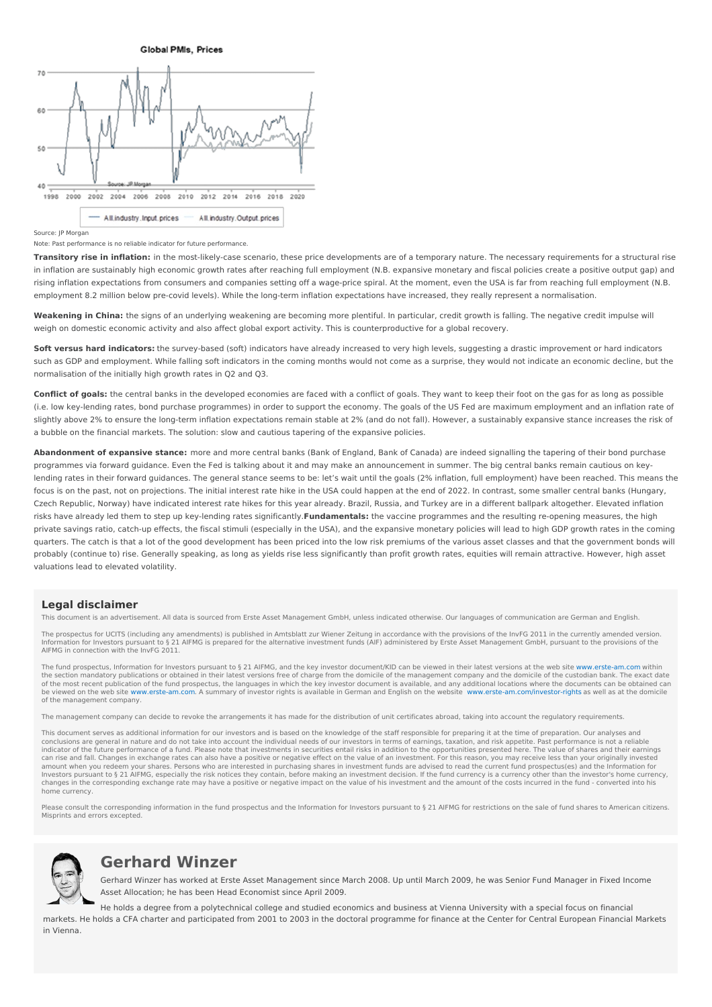**Global PMIs, Prices** 



Source: JP Morgan

Note: Past performance is no reliable indicator for future performance.

**Transitory rise in inflation:** in the most-likely-case scenario, these price developments are of a temporary nature. The necessary requirements for a structural rise in inflation are sustainably high economic growth rates after reaching full employment (N.B. expansive monetary and fiscal policies create a positive output gap) and rising inflation expectations from consumers and companies setting off a wage-price spiral. At the moment, even the USA is far from reaching full employment (N.B. employment 8.2 million below pre-covid levels). While the long-term inflation expectations have increased, they really represent a normalisation.

**Weakening in China:** the signs of an underlying weakening are becoming more plentiful. In particular, credit growth is falling. The negative credit impulse will weigh on domestic economic activity and also affect global export activity. This is counterproductive for a global recovery.

**Soft versus hard indicators:** the survey-based (soft) indicators have already increased to very high levels, suggesting a drastic improvement or hard indicators such as GDP and employment. While falling soft indicators in the coming months would not come as a surprise, they would not indicate an economic decline, but the normalisation of the initially high growth rates in Q2 and Q3.

**Conflict of goals:** the central banks in the developed economies are faced with a conflict of goals. They want to keep their foot on the gas for as long as possible (i.e. low key-lending rates, bond purchase programmes) in order to support the economy. The goals of the US Fed are maximum employment and an inflation rate of slightly above 2% to ensure the long-term inflation expectations remain stable at 2% (and do not fall). However, a sustainably expansive stance increases the risk of a bubble on the financial markets. The solution: slow and cautious tapering of the expansive policies.

**Abandonment of expansive stance:** more and more central banks (Bank of England, Bank of Canada) are indeed signalling the tapering of their bond purchase programmes via forward guidance. Even the Fed is talking about it and may make an announcement in summer. The big central banks remain cautious on keylending rates in their forward guidances. The general stance seems to be: let's wait until the goals (2% inflation, full employment) have been reached. This means the focus is on the past, not on projections. The initial interest rate hike in the USA could happen at the end of 2022. In contrast, some smaller central banks (Hungary, Czech Republic, Norway) have indicated interest rate hikes for this year already. Brazil, Russia, and Turkey are in a different ballpark altogether. Elevated inflation risks have already led them to step up key-lending rates significantly.**Fundamentals:** the vaccine programmes and the resulting re-opening measures, the high private savings ratio, catch-up effects, the fiscal stimuli (especially in the USA), and the expansive monetary policies will lead to high GDP growth rates in the coming quarters. The catch is that a lot of the good development has been priced into the low risk premiums of the various asset classes and that the government bonds will probably (continue to) rise. Generally speaking, as long as yields rise less significantly than profit growth rates, equities will remain attractive. However, high asset valuations lead to elevated volatility.

#### **Legal disclaimer**

This document is an advertisement. All data is sourced from Erste Asset Management GmbH, unless indicated otherwise. Our languages of communication are German and English.

The prospectus for UCITS (including any amendments) is published in Amtsblatt zur Wiener Zeitung in accordance with the provisions of the InvFG 2011 in the currently amended version.<br>Information for Investors pursuant to§2 AIFMG in connection with the InvFG 2011.

The fund prospectus, Information for Investors pursuant to§21 AIFMG, and the key investor document/KID can be viewed in their latest versions at the web site [www.erste-am.com](https://www.erste-am.com) within<br>the section mandatory publications or ob of the most recent publication of the fund prospectus, the languages in which the key investor document is available, and any additional locations where the documents can be obtained can<br>be viewed on the web site www.erste of the management company.

The management company can decide to revoke the arrangements it has made for the distribution of unit certificates abroad, taking into account the regulatory requirements.

This document serves as additional information for our investors and is based on the knowledge of the staff responsible for preparing it at the time of preparation. Our analyses and conclusions are general in nature and do not take into account the individual needs of our investors in terms of earnings, taxation, and risk appetite. Past performance is not a reliable indicator of the future performance of a fund. Please note that investments in securities entail risks in addition to the opportunities presented here. The value of shares and their earnings can rise and fall. Changes in exchange rates can also have a positive or negative effect on the value of an investment. For this reason, you may receive less than your originally invested<br>amount when you redeem your shares Investors pursuant to § 21 AIFMG, especially the risk notices they contain, before making an investment decision. If the fund currency is a currency other than the investor's home currency, changes in the corresponding exchange rate may have a positive or negative impact on the value of his investment and the amount of the costs incurred in the fund - converted into his home currency.

Please consult the corresponding information in the fund prospectus and the Information for Investors pursuant to § 21 AIFMG for restrictions on the sale of fund shares to American citizens. Misprints and errors excepted.



## **Gerhard Winzer**

Gerhard Winzer has worked at Erste Asset Management since March 2008. Up until March 2009, he was Senior Fund Manager in Fixed Income Asset Allocation; he has been Head Economist since April 2009.

He holds a degree from a polytechnical college and studied economics and business at Vienna University with a special focus on financial markets. He holds a CFA charter and participated from 2001 to 2003 in the doctoral programme for finance at the Center for Central European Financial Markets in Vienna.